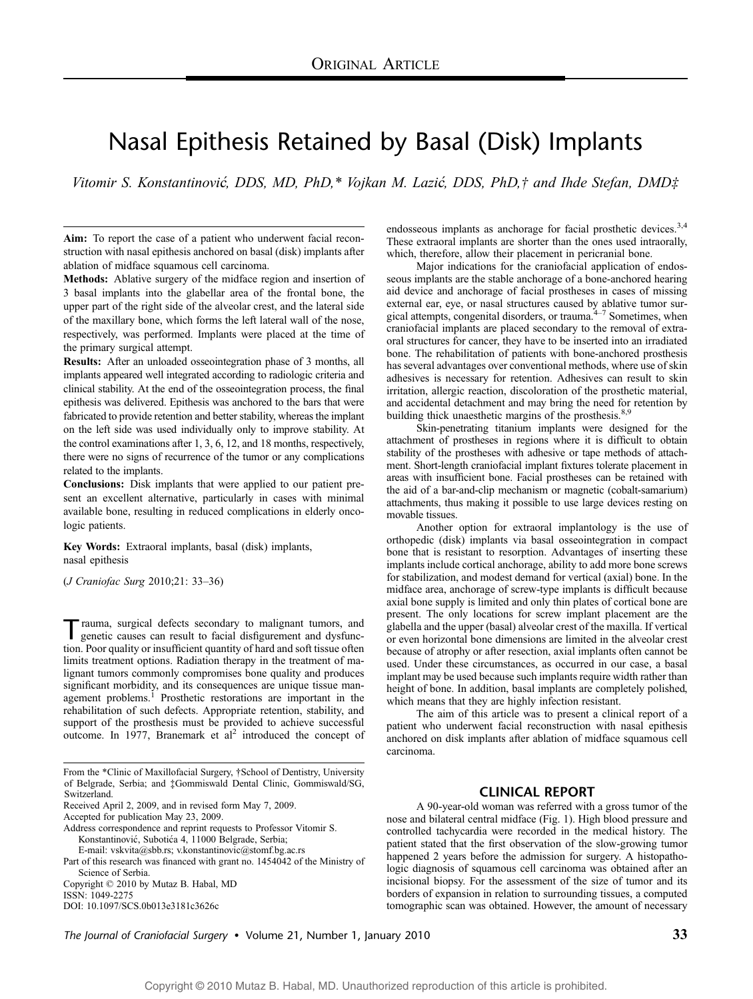# Nasal Epithesis Retained by Basal (Disk) Implants

Vitomir S. Konstantinović, DDS, MD, PhD,\* Vojkan M. Lazić, DDS, PhD,† and Ihde Stefan, DMD‡

Aim: To report the case of a patient who underwent facial reconstruction with nasal epithesis anchored on basal (disk) implants after ablation of midface squamous cell carcinoma.

Methods: Ablative surgery of the midface region and insertion of 3 basal implants into the glabellar area of the frontal bone, the upper part of the right side of the alveolar crest, and the lateral side of the maxillary bone, which forms the left lateral wall of the nose, respectively, was performed. Implants were placed at the time of the primary surgical attempt.

Results: After an unloaded osseointegration phase of 3 months, all implants appeared well integrated according to radiologic criteria and clinical stability. At the end of the osseointegration process, the final epithesis was delivered. Epithesis was anchored to the bars that were fabricated to provide retention and better stability, whereas the implant on the left side was used individually only to improve stability. At the control examinations after 1, 3, 6, 12, and 18 months, respectively, there were no signs of recurrence of the tumor or any complications related to the implants.

Conclusions: Disk implants that were applied to our patient present an excellent alternative, particularly in cases with minimal available bone, resulting in reduced complications in elderly oncologic patients.

Key Words: Extraoral implants, basal (disk) implants, nasal epithesis

(*J Craniofac Surg 2010;21: 33-36*)

Trauma, surgical defects secondary to malignant tumors, and<br>genetic causes can result to facial disfigurement and dysfunction. Poor quality or insufficient quantity of hard and soft tissue often limits treatment options. Radiation therapy in the treatment of malignant tumors commonly compromises bone quality and produces significant morbidity, and its consequences are unique tissue management problems.<sup>1</sup> Prosthetic restorations are important in the rehabilitation of such defects. Appropriate retention, stability, and support of the prosthesis must be provided to achieve successful outcome. In 1977, Branemark et  $al<sup>2</sup>$  introduced the concept of

Address correspondence and reprint requests to Professor Vitomir S. Konstantinović, Subotića 4, 11000 Belgrade, Serbia;

E-mail: vskvita@sbb.rs; v.konstantinovic@stomf.bg.ac.rs

Part of this research was financed with grant no. 1454042 of the Ministry of Science of Serbia.

Copyright  $@$  2010 by Mutaz B. Habal, MD

ISSN: 1049-2275

DOI: 10.1097/SCS.0b013e3181c3626c

endosseous implants as anchorage for facial prosthetic devices.<sup>3,4</sup> These extraoral implants are shorter than the ones used intraorally, which, therefore, allow their placement in pericranial bone.

Major indications for the craniofacial application of endosseous implants are the stable anchorage of a bone-anchored hearing aid device and anchorage of facial prostheses in cases of missing external ear, eye, or nasal structures caused by ablative tumor sur-<br>gical attempts, congenital disorders, or trauma.<sup>4-7</sup> Sometimes, when craniofacial implants are placed secondary to the removal of extraoral structures for cancer, they have to be inserted into an irradiated bone. The rehabilitation of patients with bone-anchored prosthesis has several advantages over conventional methods, where use of skin adhesives is necessary for retention. Adhesives can result to skin irritation, allergic reaction, discoloration of the prosthetic material, and accidental detachment and may bring the need for retention by building thick unaesthetic margins of the prosthesis.<sup>8,9</sup>

Skin-penetrating titanium implants were designed for the attachment of prostheses in regions where it is difficult to obtain stability of the prostheses with adhesive or tape methods of attachment. Short-length craniofacial implant fixtures tolerate placement in areas with insufficient bone. Facial prostheses can be retained with the aid of a bar-and-clip mechanism or magnetic (cobalt-samarium) attachments, thus making it possible to use large devices resting on movable tissues.

Another option for extraoral implantology is the use of orthopedic (disk) implants via basal osseointegration in compact bone that is resistant to resorption. Advantages of inserting these implants include cortical anchorage, ability to add more bone screws for stabilization, and modest demand for vertical (axial) bone. In the midface area, anchorage of screw-type implants is difficult because axial bone supply is limited and only thin plates of cortical bone are present. The only locations for screw implant placement are the glabella and the upper (basal) alveolar crest of the maxilla. If vertical or even horizontal bone dimensions are limited in the alveolar crest because of atrophy or after resection, axial implants often cannot be used. Under these circumstances, as occurred in our case, a basal implant may be used because such implants require width rather than height of bone. In addition, basal implants are completely polished, which means that they are highly infection resistant.

The aim of this article was to present a clinical report of a patient who underwent facial reconstruction with nasal epithesis anchored on disk implants after ablation of midface squamous cell carcinoma.

## CLINICAL REPORT

A 90-year-old woman was referred with a gross tumor of the nose and bilateral central midface (Fig. 1). High blood pressure and controlled tachycardia were recorded in the medical history. The patient stated that the first observation of the slow-growing tumor happened 2 years before the admission for surgery. A histopathologic diagnosis of squamous cell carcinoma was obtained after an incisional biopsy. For the assessment of the size of tumor and its borders of expansion in relation to surrounding tissues, a computed tomographic scan was obtained. However, the amount of necessary

The Journal of Craniofacial Surgery • Volume 21, Number 1, January 2010  $33$ 

From the \*Clinic of Maxillofacial Surgery, †School of Dentistry, University of Belgrade, Serbia; and ‡Gommiswald Dental Clinic, Gommiswald/SG, Switzerland.

Received April 2, 2009, and in revised form May 7, 2009.

Accepted for publication May 23, 2009.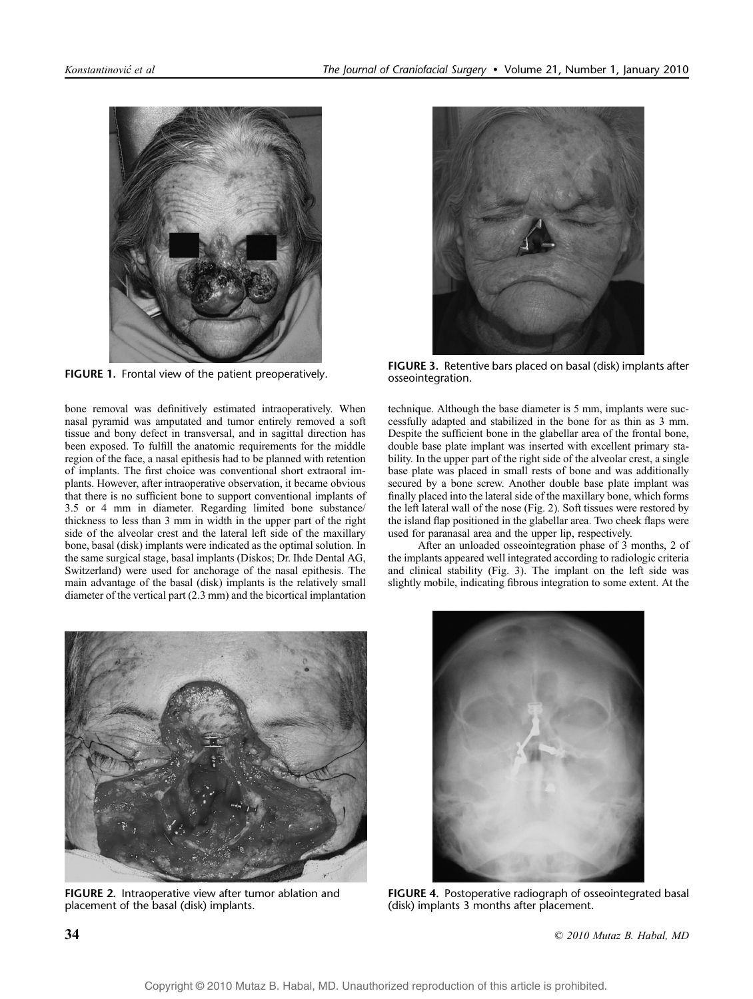

FIGURE 1. Frontal view of the patient preoperatively.

bone removal was definitively estimated intraoperatively. When nasal pyramid was amputated and tumor entirely removed a soft tissue and bony defect in transversal, and in sagittal direction has been exposed. To fulfill the anatomic requirements for the middle region of the face, a nasal epithesis had to be planned with retention of implants. The first choice was conventional short extraoral implants. However, after intraoperative observation, it became obvious that there is no sufficient bone to support conventional implants of 3.5 or 4 mm in diameter. Regarding limited bone substance/ thickness to less than 3 mm in width in the upper part of the right side of the alveolar crest and the lateral left side of the maxillary bone, basal (disk) implants were indicated as the optimal solution. In the same surgical stage, basal implants (Diskos; Dr. Ihde Dental AG, Switzerland) were used for anchorage of the nasal epithesis. The main advantage of the basal (disk) implants is the relatively small diameter of the vertical part (2.3 mm) and the bicortical implantation



FIGURE 3. Retentive bars placed on basal (disk) implants after osseointegration.

technique. Although the base diameter is 5 mm, implants were successfully adapted and stabilized in the bone for as thin as 3 mm. Despite the sufficient bone in the glabellar area of the frontal bone, double base plate implant was inserted with excellent primary stability. In the upper part of the right side of the alveolar crest, a single base plate was placed in small rests of bone and was additionally secured by a bone screw. Another double base plate implant was finally placed into the lateral side of the maxillary bone, which forms the left lateral wall of the nose (Fig. 2). Soft tissues were restored by the island flap positioned in the glabellar area. Two cheek flaps were used for paranasal area and the upper lip, respectively.

After an unloaded osseointegration phase of 3 months, 2 of the implants appeared well integrated according to radiologic criteria and clinical stability (Fig. 3). The implant on the left side was slightly mobile, indicating fibrous integration to some extent. At the



FIGURE 2. Intraoperative view after tumor ablation and placement of the basal (disk) implants.



FIGURE 4. Postoperative radiograph of osseointegrated basal (disk) implants 3 months after placement.

 $\degree$  2010 Mutaz B. Habal, MD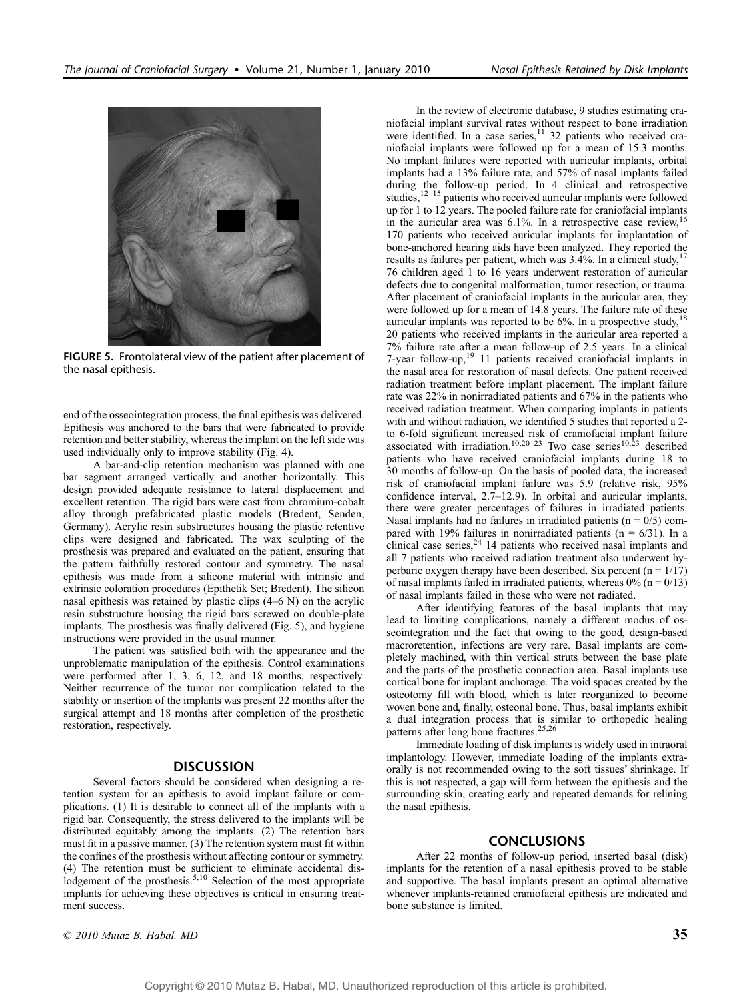

FIGURE 5. Frontolateral view of the patient after placement of the nasal epithesis.

end of the osseointegration process, the final epithesis was delivered. Epithesis was anchored to the bars that were fabricated to provide retention and better stability, whereas the implant on the left side was used individually only to improve stability (Fig. 4).

A bar-and-clip retention mechanism was planned with one bar segment arranged vertically and another horizontally. This design provided adequate resistance to lateral displacement and excellent retention. The rigid bars were cast from chromium-cobalt alloy through prefabricated plastic models (Bredent, Senden, Germany). Acrylic resin substructures housing the plastic retentive clips were designed and fabricated. The wax sculpting of the prosthesis was prepared and evaluated on the patient, ensuring that the pattern faithfully restored contour and symmetry. The nasal epithesis was made from a silicone material with intrinsic and extrinsic coloration procedures (Epithetik Set; Bredent). The silicon nasal epithesis was retained by plastic clips  $(4-6 N)$  on the acrylic resin substructure housing the rigid bars screwed on double-plate implants. The prosthesis was finally delivered (Fig. 5), and hygiene instructions were provided in the usual manner.

The patient was satisfied both with the appearance and the unproblematic manipulation of the epithesis. Control examinations were performed after 1, 3, 6, 12, and 18 months, respectively. Neither recurrence of the tumor nor complication related to the stability or insertion of the implants was present 22 months after the surgical attempt and 18 months after completion of the prosthetic restoration, respectively.

### **DISCUSSION**

Several factors should be considered when designing a retention system for an epithesis to avoid implant failure or complications. (1) It is desirable to connect all of the implants with a rigid bar. Consequently, the stress delivered to the implants will be distributed equitably among the implants. (2) The retention bars must fit in a passive manner. (3) The retention system must fit within the confines of the prosthesis without affecting contour or symmetry. (4) The retention must be sufficient to eliminate accidental dislodgement of the prosthesis.<sup>5,10</sup> Selection of the most appropriate implants for achieving these objectives is critical in ensuring treatment success.

In the review of electronic database, 9 studies estimating craniofacial implant survival rates without respect to bone irradiation were identified. In a case series, $11$  32 patients who received craniofacial implants were followed up for a mean of 15.3 months. No implant failures were reported with auricular implants, orbital implants had a 13% failure rate, and 57% of nasal implants failed during the follow-up period. In 4 clinical and retrospective studies, $12-15$  patients who received auricular implants were followed up for 1 to 12 years. The pooled failure rate for craniofacial implants in the auricular area was  $6.1\%$ . In a retrospective case review,  $16$ 170 patients who received auricular implants for implantation of bone-anchored hearing aids have been analyzed. They reported the results as failures per patient, which was 3.4%. In a clinical study,<sup>1</sup> 76 children aged 1 to 16 years underwent restoration of auricular defects due to congenital malformation, tumor resection, or trauma. After placement of craniofacial implants in the auricular area, they were followed up for a mean of 14.8 years. The failure rate of these auricular implants was reported to be  $6\%$ . In a prospective study, <sup>18</sup> 20 patients who received implants in the auricular area reported a 7% failure rate after a mean follow-up of 2.5 years. In a clinical 7-year follow-up, $19$  11 patients received craniofacial implants in the nasal area for restoration of nasal defects. One patient received radiation treatment before implant placement. The implant failure rate was 22% in nonirradiated patients and 67% in the patients who received radiation treatment. When comparing implants in patients with and without radiation, we identified 5 studies that reported a 2 to 6-fold significant increased risk of craniofacial implant failure<br>associated with irradiation.<sup>10,20–23</sup> Two case series<sup>10,23</sup> described patients who have received craniofacial implants during 18 to 30 months of follow-up. On the basis of pooled data, the increased risk of craniofacial implant failure was 5.9 (relative risk, 95% confidence interval,  $2.7-12.9$ ). In orbital and auricular implants, there were greater percentages of failures in irradiated patients. Nasal implants had no failures in irradiated patients ( $n = 0/5$ ) compared with 19% failures in nonirradiated patients ( $n = 6/31$ ). In a clinical case series, $24$  14 patients who received nasal implants and all 7 patients who received radiation treatment also underwent hyperbaric oxygen therapy have been described. Six percent ( $n = 1/17$ ) of nasal implants failed in irradiated patients, whereas  $0\%$  (n = 0/13) of nasal implants failed in those who were not radiated.

After identifying features of the basal implants that may lead to limiting complications, namely a different modus of osseointegration and the fact that owing to the good, design-based macroretention, infections are very rare. Basal implants are completely machined, with thin vertical struts between the base plate and the parts of the prosthetic connection area. Basal implants use cortical bone for implant anchorage. The void spaces created by the osteotomy fill with blood, which is later reorganized to become woven bone and, finally, osteonal bone. Thus, basal implants exhibit a dual integration process that is similar to orthopedic healing patterns after long bone fractures.<sup>25,26</sup>

Immediate loading of disk implants is widely used in intraoral implantology. However, immediate loading of the implants extraorally is not recommended owing to the soft tissues' shrinkage. If this is not respected, a gap will form between the epithesis and the surrounding skin, creating early and repeated demands for relining the nasal epithesis.

#### CONCLUSIONS

After 22 months of follow-up period, inserted basal (disk) implants for the retention of a nasal epithesis proved to be stable and supportive. The basal implants present an optimal alternative whenever implants-retained craniofacial epithesis are indicated and bone substance is limited.

 $\degree$  2010 Mutaz B. Habal, MD 35